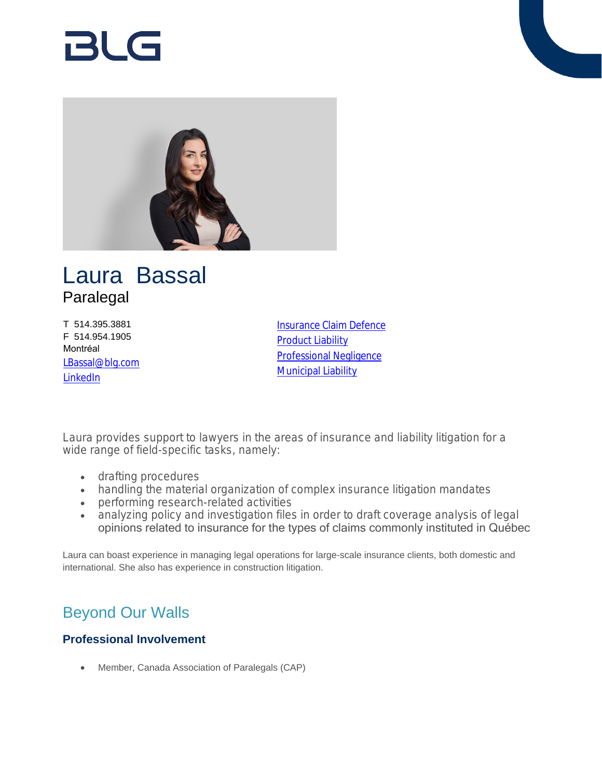# RI G



## Laura Bassal Paralegal

T 514.395.3881 F 514.954.1905 Montréal [LBassal@blg.com](mailto:LBassal@blg.com) **[LinkedIn](https://www.linkedin.com/in/laura-bassal-152b05114/ )** 

[Insurance Claim Defence](https://www.blg.com/en/services/practice-areas/disputes/insurance-claim-defence) [Product Liability](https://www.blg.com/en/services/practice-areas/disputes/product-liability) [Professional Negligence](https://www.blg.com/en/services/practice-areas/disputes/professional-negligence) **[Municipal Liability](https://www.blg.com/en/services/practice-areas/disputes/municipal-liability)** 

Laura provides support to lawyers in the areas of insurance and liability litigation for a wide range of field-specific tasks, namely:

- drafting procedures
- handling the material organization of complex insurance litigation mandates
- performing research-related activities
- analyzing policy and investigation files in order to draft coverage analysis of legal opinions related to insurance for the types of claims commonly instituted in Québec

Laura can boast experience in managing legal operations for large-scale insurance clients, both domestic and international. She also has experience in construction litigation.

## Beyond Our Walls

### **Professional Involvement**

Member, Canada Association of Paralegals (CAP)